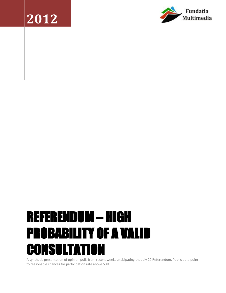# **2012**



# REFERENDUM – HIGH PROBABILITY OF A VALID CONSULTATION

A synthetic presentation of opinion polls from recent weeks anticipating the July 29 Referendum. Public data point to reasonable chances for participation rate above 50%.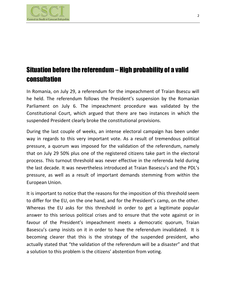

### Situation before the referendum – High probability of a valid consultation

In Romania, on July 29, a referendum for the impeachment of Traian Bsescu will he held. The referendum follows the President's suspension by the Romanian Parliament on July 6. The impeachment procedure was validated by the Constitutional Court, which argued that there are two instances in which the suspended President clearly broke the constitutional provisions.

During the last couple of weeks, an intense electoral campaign has been under way in regards to this very important vote. As a result of tremendous political pressure, a quorum was imposed for the validation of the referendum, namely that on July 29 50% plus one of the registered citizens take part in the electoral process. This turnout threshold was never effective in the referenda held during the last decade. It was nevertheless introduced at Traian Basescu's and the PDL's pressure, as well as a result of important demands stemming from within the European Union.

It is important to notice that the reasons for the imposition of this threshold seem to differ for the EU, on the one hand, and for the President's camp, on the other. Whereas the EU asks for this threshold in order to get a legitimate popular answer to this serious political crises and to ensure that the vote against or in favour of the President's impeachment meets a democratic quorum, Traian Basescu's camp insists on it in order to have the referendum invalidated. It is becoming clearer that this is the strategy of the suspended president, who actually stated that "the validation of the referendum will be a disaster" and that a solution to this problem is the citizens' abstention from voting.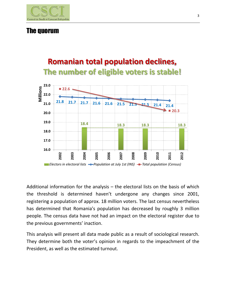

#### The quorum

## **Romanian total population declines, The number of eligible voters is stable!**



Additional information for the analysis  $-$  the electoral lists on the basis of which the threshold is determined haven't undergone any changes since 2001, registering a population of approx. 18 million voters. The last census nevertheless has determined that Romania's population has decreased by roughly 3 million people. The census data have not had an impact on the electoral register due to the previous governments' inaction.

This analysis will present all data made public as a result of sociological research. They determine both the voter's opinion in regards to the impeachment of the President, as well as the estimated turnout.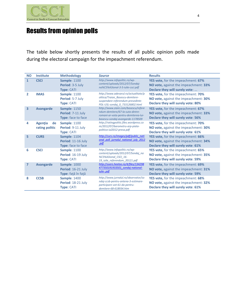

### Results from opinion polls

The table below shortly presents the results of all public opinion polls made during the electoral campaign for the impeachment referendum.

| <b>NO</b>               | <b>Institute</b>                       | <b>Methodology</b>                                              | <b>Source</b>                                                                                                                                       | <b>Results</b>                                                                                                    |
|-------------------------|----------------------------------------|-----------------------------------------------------------------|-----------------------------------------------------------------------------------------------------------------------------------------------------|-------------------------------------------------------------------------------------------------------------------|
| $\mathbf{1}$            | <b>CSCI</b>                            | <b>Sample: 1100</b><br>Period: 3-5 July<br><b>Type: CATI</b>    | http://www.infopolitic.ro/wp-<br>content/uploads/2012/07/Sondaj-<br>na%C5%A3ional-3-5-iulie-csci.pdf                                                | YES vote, for the impeachment: 67%<br>NO vote, against the impeachment: 33%<br>Declare they will surely vote:     |
| 2                       | <b>IMAS</b>                            | <b>Sample: 1100</b><br>Period: 5-7 July<br>Type: CATI           | http://www.adevarul.ro/actualitate/p<br>olitica/Traian Basescu-demitere-<br>suspendare-referendum-presedinte-<br>PDL-USL-sondaj 0 733126802.html    | YES vote, for the impeachment: 70%<br>NO vote, against the impeachment: 30%<br>Declare they will surely vote: 80% |
| $\overline{\mathbf{3}}$ | <b>Avangarde</b>                       | <b>Sample: 1150</b><br>Period: 7-11 July<br>Type: face to face  | http://www.ziare.com/basescu/refere<br>ndum-demitere/67-la-suta-dintre-<br>romani-ar-vota-pentru-demiterea-lui-<br>basescu-sondaj-avangarde-1178509 | YES vote, for the impeachment: 67%<br>NO vote, against the impeachment: 33%<br>Declare they will surely vote: 56% |
| 4                       | <b>Agenția</b><br>de<br>rating politic | <b>Sample: 1100</b><br>Period: 9-11 July<br>Type: CATI          | http://ratingpolitic.files.wordpress.co<br>m/2012/07/barometru-arp-piata-<br>politica-iul2012-presa.pdf                                             | YES vote, for the impeachment: 70%<br>NO vote, against the impeachment: 30%<br>Declare they will surely vote: 61% |
| 5                       | <b>CURS</b>                            | <b>Sample: 1104</b><br>Period: 11-16 July<br>Type: face to face | http://curs.ro/images/pdf/public nati<br>onal poll jurnalul national july 2012<br>.pdf                                                              | YES vote, for the impeachment: 66%<br>NO vote, against the impeachment: 34%<br>Declare they will surely vote: 61% |
| 6                       | <b>CSCI</b>                            | <b>Sample: 1100</b><br>Period: 16-19 July<br>Type: CATI         | http://www.infopolitic.ro/wp-<br>content/uploads/2012/07/Sondaj_na<br>%C5%A3ional CSCI 16-<br>19 iulie referendum 20121.pdf                         | YES vote, for the impeachment: 65%<br>NO vote, against the impeachment: 35%<br>Declare they will surely vote: 59% |
| $\overline{7}$          | <b>Avangarde</b>                       | <b>Sample: 1000</b><br>Period: 16-21 July<br>Type: față în față | http://users.heeloo.ro/4/files/134298<br>477350191933501 sondaj-national-<br>iulie-.pdf                                                             | YES vote, for the impeachment: 69%<br>NO vote, against the impeachment: 31%<br>Declare they will surely vote: 59% |
| 8                       | <b>CCSB</b>                            | <b>Sample: 1400</b><br>Period: 18-21 July<br>Type: CATI         | http://www.jurnalul.ro/observator/so<br>ndaj-ccsb-pentru-antena-3-estimare-<br>participare-vot-61-da-pentru-<br>demitere-68-618934.htm              | YES vote, for the impeachment: 68%<br>NO vote, against the impeachment: 32%<br>Declare they will surely vote: 61% |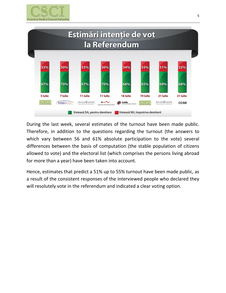



During the last week, several estimates of the turnout have been made public. Therefore, in addition to the questions regarding the turnout (the answers to which vary between 56 and 61% absolute participation to the vote) several differences between the basis of computation (the stable population of citizens allowed to vote) and the electoral list (which comprises the persons living abroad for more than a year) have been taken into account.

Hence, estimates that predict a 51% up to 55% turnout have been made public, as a result of the consistent responses of the interviewed people who declared they will resolutely vote in the referendum and indicated a clear voting option.